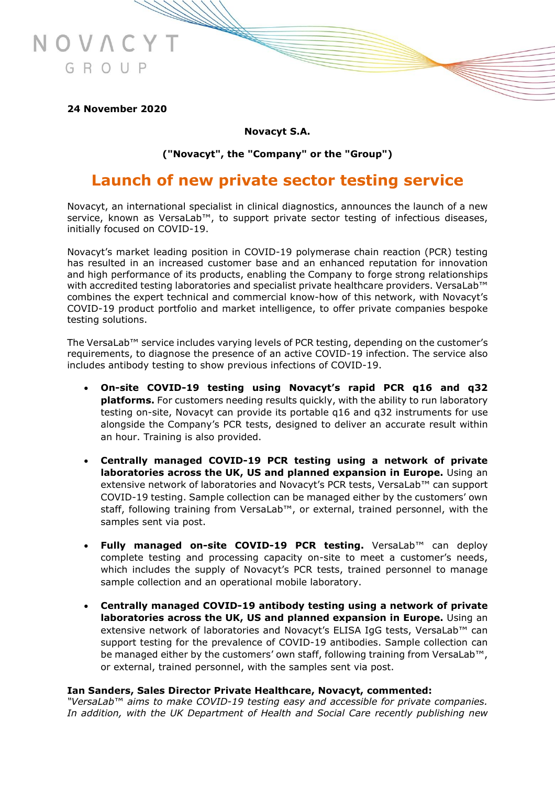

**24 November 2020**

**Novacyt S.A.**

**("Novacyt", the "Company" or the "Group")**

# **Launch of new private sector testing service**

Novacyt, an international specialist in clinical diagnostics, announces the launch of a new service, known as VersaLab™, to support private sector testing of infectious diseases, initially focused on COVID-19.

Novacyt's market leading position in COVID-19 polymerase chain reaction (PCR) testing has resulted in an increased customer base and an enhanced reputation for innovation and high performance of its products, enabling the Company to forge strong relationships with accredited testing laboratories and specialist private healthcare providers. VersaLab™ combines the expert technical and commercial know-how of this network, with Novacyt's COVID-19 product portfolio and market intelligence, to offer private companies bespoke testing solutions.

The VersaLab™ service includes varying levels of PCR testing, depending on the customer's requirements, to diagnose the presence of an active COVID-19 infection. The service also includes antibody testing to show previous infections of COVID-19.

- **On-site COVID-19 testing using Novacyt's rapid PCR q16 and q32 platforms.** For customers needing results quickly, with the ability to run laboratory testing on-site, Novacyt can provide its portable q16 and q32 instruments for use alongside the Company's PCR tests, designed to deliver an accurate result within an hour. Training is also provided.
- **Centrally managed COVID-19 PCR testing using a network of private laboratories across the UK, US and planned expansion in Europe.** Using an extensive network of laboratories and Novacyt's PCR tests, VersaLab™ can support COVID-19 testing. Sample collection can be managed either by the customers' own staff, following training from VersaLab™, or external, trained personnel, with the samples sent via post.
- **Fully managed on-site COVID-19 PCR testing.** VersaLab™ can deploy complete testing and processing capacity on-site to meet a customer's needs, which includes the supply of Novacyt's PCR tests, trained personnel to manage sample collection and an operational mobile laboratory.
- **Centrally managed COVID-19 antibody testing using a network of private laboratories across the UK, US and planned expansion in Europe.** Using an extensive network of laboratories and Novacyt's ELISA IgG tests, VersaLab™ can support testing for the prevalence of COVID-19 antibodies. Sample collection can be managed either by the customers' own staff, following training from VersaLab™, or external, trained personnel, with the samples sent via post.

## **Ian Sanders, Sales Director Private Healthcare, Novacyt, commented:**

*"VersaLab*™ *aims to make COVID-19 testing easy and accessible for private companies. In addition, with the UK Department of Health and Social Care recently publishing new*